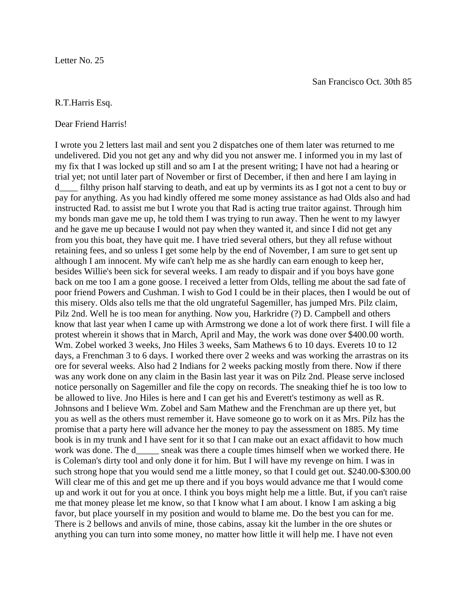## R.T.Harris Esq.

Dear Friend Harris!

I wrote you 2 letters last mail and sent you 2 dispatches one of them later was returned to me undelivered. Did you not get any and why did you not answer me. I informed you in my last of my fix that I was locked up still and so am I at the present writing; I have not had a hearing or trial yet; not until later part of November or first of December, if then and here I am laying in d\_\_\_\_ filthy prison half starving to death, and eat up by vermints its as I got not a cent to buy or pay for anything. As you had kindly offered me some money assistance as had Olds also and had instructed Rad. to assist me but I wrote you that Rad is acting true traitor against. Through him my bonds man gave me up, he told them I was trying to run away. Then he went to my lawyer and he gave me up because I would not pay when they wanted it, and since I did not get any from you this boat, they have quit me. I have tried several others, but they all refuse without retaining fees, and so unless I get some help by the end of November, I am sure to get sent up although I am innocent. My wife can't help me as she hardly can earn enough to keep her, besides Willie's been sick for several weeks. I am ready to dispair and if you boys have gone back on me too I am a gone goose. I received a letter from Olds, telling me about the sad fate of poor friend Powers and Cushman. I wish to God I could be in their places, then I would be out of this misery. Olds also tells me that the old ungrateful Sagemiller, has jumped Mrs. Pilz claim, Pilz 2nd. Well he is too mean for anything. Now you, Harkridre (?) D. Campbell and others know that last year when I came up with Armstrong we done a lot of work there first. I will file a protest wherein it shows that in March, April and May, the work was done over \$400.00 worth. Wm. Zobel worked 3 weeks, Jno Hiles 3 weeks, Sam Mathews 6 to 10 days. Everets 10 to 12 days, a Frenchman 3 to 6 days. I worked there over 2 weeks and was working the arrastras on its ore for several weeks. Also had 2 Indians for 2 weeks packing mostly from there. Now if there was any work done on any claim in the Basin last year it was on Pilz 2nd. Please serve inclosed notice personally on Sagemiller and file the copy on records. The sneaking thief he is too low to be allowed to live. Jno Hiles is here and I can get his and Everett's testimony as well as R. Johnsons and I believe Wm. Zobel and Sam Mathew and the Frenchman are up there yet, but you as well as the others must remember it. Have someone go to work on it as Mrs. Pilz has the promise that a party here will advance her the money to pay the assessment on 1885. My time book is in my trunk and I have sent for it so that I can make out an exact affidavit to how much work was done. The d\_\_\_\_\_ sneak was there a couple times himself when we worked there. He is Coleman's dirty tool and only done it for him. But I will have my revenge on him. I was in such strong hope that you would send me a little money, so that I could get out. \$240.00-\$300.00 Will clear me of this and get me up there and if you boys would advance me that I would come up and work it out for you at once. I think you boys might help me a little. But, if you can't raise me that money please let me know, so that I know what I am about. I know I am asking a big favor, but place yourself in my position and would to blame me. Do the best you can for me. There is 2 bellows and anvils of mine, those cabins, assay kit the lumber in the ore shutes or anything you can turn into some money, no matter how little it will help me. I have not even